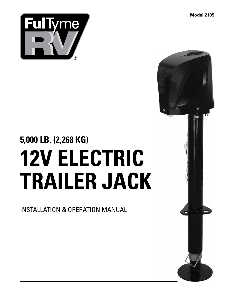**Model 2105**



# **5,000 LB. (2,268 KG) 12V ELECTRIC TRAILER JACK**

INSTALLATION & OPERATION MANUAL

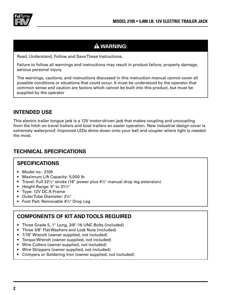

## **WARNING:**

Read, Understand, Follow and Save These Instructions.

Failure to follow all warnings and instructions may result in product failure, property damage, serious personal injury.

The warnings, cautions, and instructions discussed in this instruction manual cannot cover all possible conditions or situations that could occur. It must be understood by the operator that common sense and caution are factors which cannot be built into this product, but must be supplied by the operator

#### **INTENDED USE**

This electric trailer tongue jack is a 12V motor-driven jack that makes coupling and uncoupling from the hitch on travel trailers and boat trailers an easier operation. New industrial design cover is extremely waterproof. Improved LEDs shine down onto your ball and coupler where light is needed the most.

### **TECHNICAL SPECIFICATIONS**

#### **SPECIFICATIONS**

- Model no.: 2105
- Maximum Lift Capacity: 5,000 lb
- Travel: Full 22½" stroke (18" power plus 4½" manual drop leg extension)
- Height Range: 9" to 31½"
- Type: 12V DC A-Frame
- Outer Tube Diameter: 2¼"
- Foot Pad: Removable 4½" Drop Leg

### **COMPONENTS OF KIT AND TOOLS REQUIRED**

- Three Grade 5, 1" Long, 3/8"-16 UNC Bolts (included)
- Three 3/8" Flat Washers and Lock Nuts (included)
- 7/16" Wrench (owner supplied, not included)
- Torque Wrench (owner supplied, not included)
- Wire Cutters (owner supplied, not included)
- Wire Strippers (owner supplied, not included)
- Crimpers or Soldering Iron (owner supplied, not included)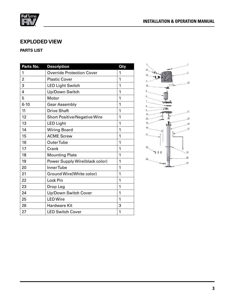

#### **EXPLODED VIEW**

#### **PARTS LIST**

| Parts No.               | <b>Description</b>                  | $Q$ ty |
|-------------------------|-------------------------------------|--------|
| 1                       | <b>Override Protection Cover</b>    | 1      |
| $\overline{2}$          | <b>Plastic Cover</b>                | 1      |
| 3                       | <b>LED Light Switch</b>             | 1      |
| $\overline{\mathbf{4}}$ | Up/Down Switch                      | 1      |
| 5                       | Motor                               | 1      |
| $6 - 10$                | <b>Gear Assembly</b>                | 1      |
| 11                      | <b>Drive Shaft</b>                  | 1      |
| 12                      | <b>Short Positive/Negative Wire</b> | 1      |
| 13                      | <b>LED Light</b>                    | 1      |
| 14                      | <b>Wiring Board</b>                 | 1      |
| 15                      | <b>ACME Screw</b>                   | 1      |
| 16                      | <b>OuterTube</b>                    | 1      |
| 17                      | Crank                               | 1      |
| 18                      | <b>Mounting Plate</b>               | 1      |
| 19                      | Power Supply Wire(black color)      | 1      |
| 20                      | Inner Tube                          | 1      |
| 21                      | Ground Wire(White color)            | 1      |
| 22                      | Lock Pin                            | 1      |
| 23                      | Drop Leg                            | 1      |
| 24                      | Up/Down Switch Cover                | 1      |
| 25                      | <b>LED Wire</b>                     | 1      |
| 26                      | <b>Hardware Kit</b>                 | 3      |
| 27                      | <b>LED Switch Cover</b>             | 1      |

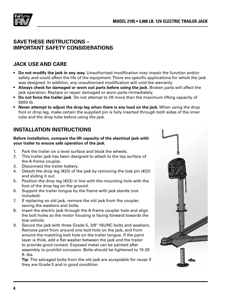

#### **SAVE THESE INSTRUCTIONS – IMPORTANT SAFETY CONSIDERATIONS**

#### **JACK USE AND CARE**

- **Do not modify the jack in any way.** Unauthorized modification may impair the function and/or safety and could affect the life of the equipment. There are specific applications for which the jack was designed. In addition, any unauthorized modification will void the warranty.
- **Always check for damaged or worn out parts before using the jack.** Broken parts will affect the jack operation. Replace or repair damaged or worn parts immediately.
- **Do not force the trailer jack.** Do not attempt to lift more than the maximum lifting capacity of 5000-lb.
- **Never attempt to adjust the drop leg when there is any load on the jack.** When using the drop foot or drop leg, make certain the supplied pin is fully inserted through both sides of the inner tube and the drop tube before using the jack.

### **INSTALLATION INSTRUCTIONS**

#### **Before installation, compare the lift capacity of the electrical jack with your trailer to ensure safe operation of the jack.**

- 1. Park the trailer on a level surface and block the wheels.
- 2. This trailer jack has been designed to attach to the top surface of the A-frame coupler.
- 3. Disconnect the trailer battery.
- 4. Detach the drop leg (#23) of the jack by removing the lock pin (#22) and sliding it out.
- 5. Position the drop leg (#23) in line with the mounting hole with the foot of the drop leg on the ground.
- 6. Support the trailer tongue by the frame with jack stands (not included).
- 7. If replacing an old jack, remove the old jack from the coupler, saving the washers and bolts.
- 8. Insert the electric jack through the A-frame coupler hole and align the bolt holes so the motor housing is facing forward towards the tow vehicle.
- 9. Secure the jack with three Grade 5, 3/8"-16UNC bolts and washers. Remove paint from around one bolt hole on the jack, and from around the matching bolt hole on the trailer tongue. If the paint layer is thick, add a flat washer between the jack and the trailer to provide good contact. Exposed metal can be painted after assembly to prohibit corrosion. Bolts should be tightened to 15-20 ft.-lbs

**Tip:** The salvaged bolts from the old jack are acceptable for reuse if they are Grade 5 and in good condition.

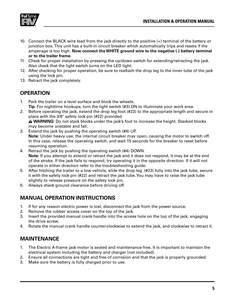

- 10. Connect the BLACK wire lead from the jack directly to the positive (+) terminal of the battery or junction box. This unit has a built-in circuit breaker which automatically trips and resets if the amperage is too high. **Now connect the WHITE ground wire to the negative (-) battery terminal or to the trailer frame.**
- 11. Check for proper installation by pressing the up/down switch for extending/retracting the jack. Also check that the light switch turns on the LED light.
- 12. After checking for proper operation, be sure to reattach the drop leg to the inner tube of the jack using the lock pin.
- 13. Retract the jack completely.

#### **OPERATION**

- 1. Park the trailer on a level surface and block the wheels. **Tip:** For nighttime hookups, turn the light switch (#3) ON to illuminate your work area.
- 2. Before operating the jack, extend the drop leg foot (#23) to the appropriate length and secure in place with the 3/8" safety lock pin (#22) provided.

**WARNING:** Do not stack blocks under the jack's foot to increase the height. Stacked blocks may become unstable and fall.

- 3. Extend the jack by pushing the operating switch (#4) UP. **Note:** Under heavy use, the internal circuit breaker may open, causing the motor to switch off. In this case, release the operating switch, and wait 15 seconds for the breaker to reset before resuming operation.
- 4. Retract the jack by pushing the operating switch (#4) DOWN. **Note:** If you attempt to extend or retract the jack and it does not respond, it may be at the end of the stroke. If the jack fails to respond, try operating it in the opposite direction. If it will not operate in either direction refer to the troubleshooting guide.
- 5. After hitching the trailer to a tow vehicle, slide the drop leg (#23) fully into the jack tube, secure it with the safety lock pin (#22) and retract the jack tube. You may have to raise the jack tube slightly to release pressure on the safety lock pin.
- 6. Always check ground clearance before driving off.

### **MANUAL OPERATION INSTRUCTIONS**

- 1. If for any reason electric power is lost, disconnect the jack from the power source.
- 2. Remove the rubber access cover on the top of the jack.
- 3. Insert the provided manual crank handle into the access hole on the top of the jack, engaging the drive screw.
- 4. Rotate the manual crank handle counter-clockwise to extend the jack, and clockwise to retract it.

### **MAINTENANCE**

- 1. The Electric A-frame jack motor is sealed and maintenance-free. It is important to maintain the electrical system including the battery and charger (not included).
- 2. Ensure all connections are tight and free of corrosion and that the jack is properly grounded.
- 3. Make sure the battery is fully charged prior to use.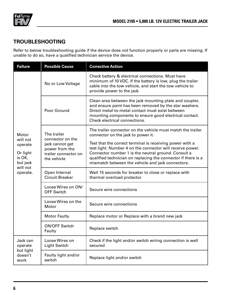

#### **TROUBLESHOOTING**

Refer to below troubleshooting guide if the device does not function properly or parts are missing. If unable to do so, have a qualified technician service the device.

| <b>Failure</b>                                                                         | <b>Possible Cause</b>                                                                                       | <b>Corrective Action</b>                                                                                                                                                                                                                                                                           |
|----------------------------------------------------------------------------------------|-------------------------------------------------------------------------------------------------------------|----------------------------------------------------------------------------------------------------------------------------------------------------------------------------------------------------------------------------------------------------------------------------------------------------|
| Motor<br>will not<br>operate<br>Or light<br>is OK,<br>but jack<br>will not<br>operate. | No or Low Voltage                                                                                           | Check battery & electrical connections. Must have<br>minimum of 10 VDC. If the battery is low, plug the trailer<br>cable into the tow vehicle, and start the tow vehicle to<br>provide power to the jack.                                                                                          |
|                                                                                        | Poor Ground                                                                                                 | Clean area between the jack mounting plate and coupler,<br>and ensure paint has been removed by the star washers.<br>Direct metal-to-metal contact must exist between<br>mounting components to ensure good electrical contact.<br>Check electrical connections.                                   |
|                                                                                        | The trailer<br>connector on the<br>jack cannot get<br>power from the<br>trailer connector on<br>the vehicle | The trailer connector on the vehicle must match the trailer<br>connector on the jack to power it.                                                                                                                                                                                                  |
|                                                                                        |                                                                                                             | Test that the correct terminal is receiving power with a<br>test light. Number 4 on the connector will receive power.<br>Connector number 1 is the neutral ground. Consult a<br>qualified technician on replacing the connector if there is a<br>mismatch between the vehicle and jack connectors. |
|                                                                                        | Open Internal<br><b>Circuit Breaker</b>                                                                     | Wait 15 seconds for breaker to close or replace with<br>thermal overload protector                                                                                                                                                                                                                 |
|                                                                                        | Loose Wires on ON/<br><b>OFF Switch</b>                                                                     | Secure wire connections                                                                                                                                                                                                                                                                            |
|                                                                                        | Loose Wires on the<br>Motor                                                                                 | Secure wire connections                                                                                                                                                                                                                                                                            |
|                                                                                        | <b>Motor Faulty</b>                                                                                         | Replace motor or Replace with a brand new jack                                                                                                                                                                                                                                                     |
|                                                                                        | <b>ON/OFF Switch</b><br>Faulty                                                                              | Replace switch                                                                                                                                                                                                                                                                                     |
| Jack can<br>operate<br>but light<br>doesn't<br>work                                    | Loose Wires on<br><b>Light Switch</b>                                                                       | Check if the light and/or switch wiring connection is well<br>secured                                                                                                                                                                                                                              |
|                                                                                        | Faulty light and/or<br>switch                                                                               | Replace light and/or switch                                                                                                                                                                                                                                                                        |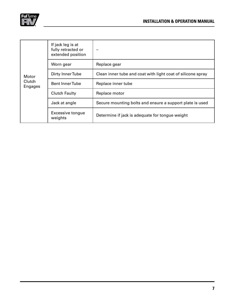

| Motor<br>Clutch<br><b>Engages</b> | If jack leg is at<br>fully retracted or<br>extended position |                                                             |
|-----------------------------------|--------------------------------------------------------------|-------------------------------------------------------------|
|                                   | Worn gear                                                    | Replace gear                                                |
|                                   | Dirty Inner Tube                                             | Clean inner tube and coat with light coat of silicone spray |
|                                   | <b>Bent InnerTube</b>                                        | Replace inner tube                                          |
|                                   | <b>Clutch Faulty</b>                                         | Replace motor                                               |
|                                   | Jack at angle                                                | Secure mounting bolts and ensure a support plate is used    |
|                                   | <b>Excessive tongue</b><br>weights                           | Determine if jack is adequate for tongue weight             |